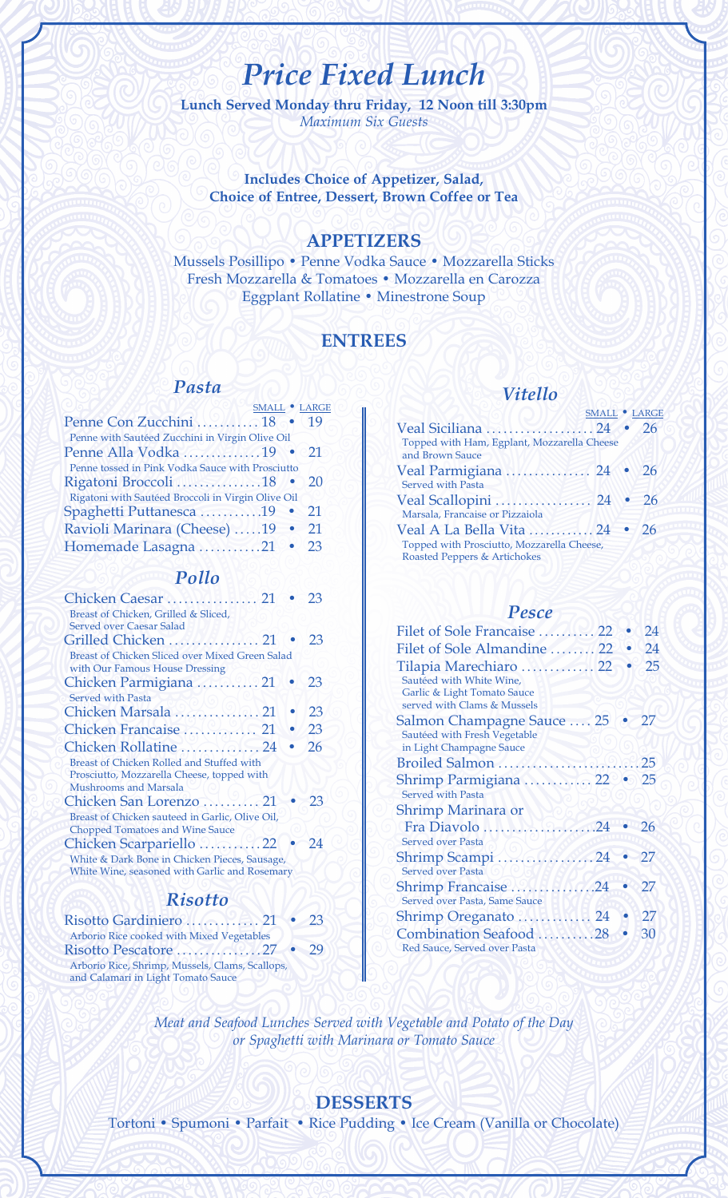# *Price Fixed Lunch*

**Lunch Served Monday thru Friday, 12 Noon till 3:30pm**  *Maximum Six Guests*

**Includes Choice of Appetizer, Salad, Choice of Entree, Dessert, Brown Coffee or Tea** 

## **APPETIZERS**

Mussels Posillipo • Penne Vodka Sauce • Mozzarella Sticks Fresh Mozzarella & Tomatoes • Mozzarella en Carozza Eggplant Rollatine • Minestrone Soup

### **ENTREES**

#### *Pasta*

|                      | 19                                                                                                                                                                                                                                                                                         |
|----------------------|--------------------------------------------------------------------------------------------------------------------------------------------------------------------------------------------------------------------------------------------------------------------------------------------|
|                      |                                                                                                                                                                                                                                                                                            |
| Penne Alla Vodka 19  | $\bullet$ e21                                                                                                                                                                                                                                                                              |
|                      |                                                                                                                                                                                                                                                                                            |
| Rigatoni Broccoli 18 | 20                                                                                                                                                                                                                                                                                         |
|                      |                                                                                                                                                                                                                                                                                            |
|                      | 21                                                                                                                                                                                                                                                                                         |
|                      | 21                                                                                                                                                                                                                                                                                         |
|                      | 23                                                                                                                                                                                                                                                                                         |
|                      | SMALL . LARGE<br>Penne Con Zucchini  18<br>Penne with Sautéed Zucchini in Virgin Olive Oil<br>Penne tossed in Pink Vodka Sauce with Prosciutto<br>Rigatoni with Sautéed Broccoli in Virgin Olive Oil<br>Spaghetti Puttanesca 19 •<br>Ravioli Marinara (Cheese) 19 .<br>Homemade Lasagna 21 |

#### *Pollo*

|                                                 | 23 |
|-------------------------------------------------|----|
| Breast of Chicken, Grilled & Sliced,            |    |
| Served over Caesar Salad                        |    |
| Grilled Chicken  21                             | 23 |
| Breast of Chicken Sliced over Mixed Green Salad |    |
| with Our Famous House Dressing                  |    |
| Chicken Parmigiana  21                          | 23 |
| <b>Served with Pasta</b>                        |    |
| Chicken Marsala  21                             | 23 |
| Chicken Francaise  21                           | 23 |
| Chicken Rollatine  24                           | 26 |
| Breast of Chicken Rolled and Stuffed with       |    |
| Prosciutto, Mozzarella Cheese, topped with      |    |
| Mushrooms and Marsala                           |    |
| Chicken San Lorenzo  21                         | 23 |
| Breast of Chicken sauteed in Garlic, Olive Oil, |    |
| <b>Chopped Tomatoes and Wine Sauce</b>          |    |
| Chicken Scarpariello 22                         | 24 |
| White & Dark Bone in Chicken Pieces, Sausage,   |    |
| White Wine, seasoned with Garlic and Rosemary   |    |

## *Risotto*

| Risotto Gardiniero  21 • 23                     |    |
|-------------------------------------------------|----|
| Arborio Rice cooked with Mixed Vegetables       |    |
|                                                 | 79 |
| Arborio Rice, Shrimp, Mussels, Clams, Scallops, |    |
| and Calamari in Light Tomato Sauce              |    |

## *Vitello*

|                                                                             | SMALL • LARGE |      |
|-----------------------------------------------------------------------------|---------------|------|
| Veal Siciliana  24 · 26                                                     |               |      |
| Topped with Ham, Egplant, Mozzarella Cheese<br>and Brown Sauce              |               |      |
| Veal Parmigiana  24 · 26<br><b>Served with Pasta</b>                        |               |      |
| Veal Scallopini  24<br>Marsala, Francaise or Pizzaiola                      |               | - 26 |
| Veal A La Bella Vita  24 • 26<br>Topped with Prosciutto, Mozzarella Cheese, |               |      |
| Roasted Peppers & Artichokes                                                |               |      |

### *Pesce*

| Filet of Sole Francaise  22                                                                                      |  | 24 |
|------------------------------------------------------------------------------------------------------------------|--|----|
|                                                                                                                  |  | 24 |
| Tilapia Marechiaro  22<br>Sautéed with White Wine,<br>Garlic & Light Tomato Sauce<br>served with Clams & Mussels |  | 25 |
| Salmon Champagne Sauce  25<br>Sautéed with Fresh Vegetable<br>in Light Champagne Sauce                           |  | 27 |
|                                                                                                                  |  |    |
| Shrimp Parmigiana  22 • 25<br><b>Served with Pasta</b>                                                           |  |    |
| <b>Shrimp Marinara or</b>                                                                                        |  |    |
| Fra Diavolo<br>$\ldots \ldots \ldots 24$<br><b>Served over Pasta</b>                                             |  | 26 |
| Shrimp Scampi<br>$\ldots$ 24<br><b>Served over Pasta</b>                                                         |  | 27 |
| Shrimp Francaise24<br>Served over Pasta, Same Sauce                                                              |  | 27 |
| Shrimp Oreganato  24                                                                                             |  | 27 |
| Combination Seafood 28<br>Red Sauce, Served over Pasta                                                           |  | 30 |

*Meat and Seafood Lunches Served with Vegetable and Potato of the Day or Spaghetti with Marinara or Tomato Sauce* 

## **DESSERTS**

Tortoni • Spumoni • Parfait • Rice Pudding • Ice Cream (Vanilla or Chocolate)